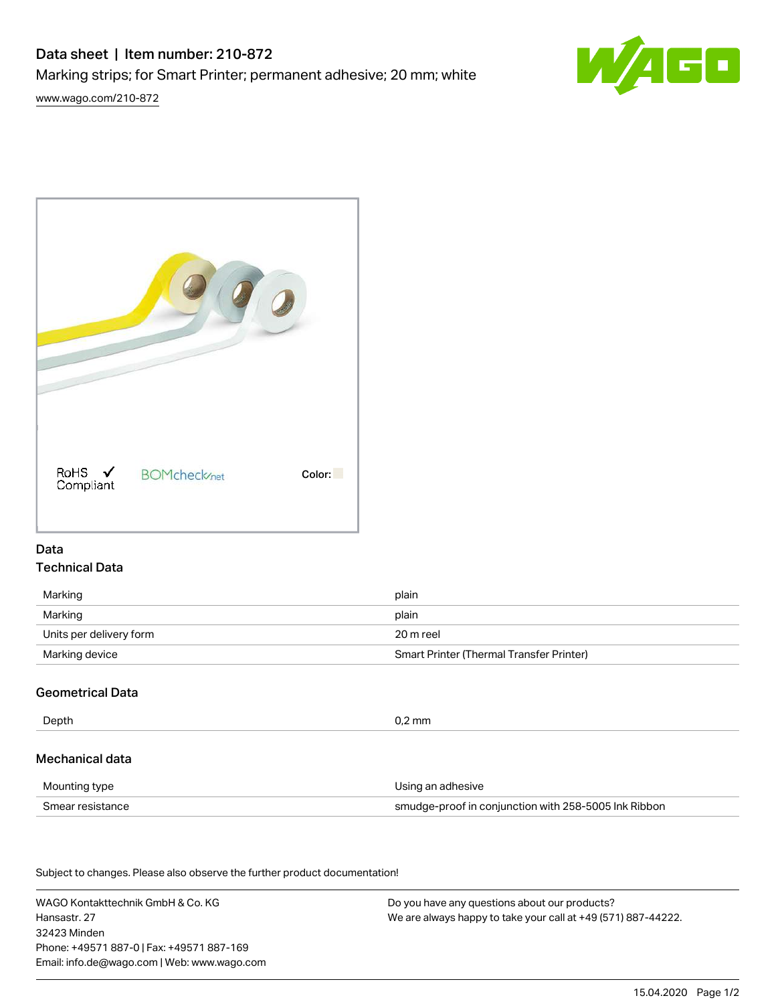# Data sheet | Item number: 210-872

Marking strips; for Smart Printer; permanent adhesive; 20 mm; white

[www.wago.com/210-872](http://www.wago.com/210-872)





## Data Technical Data

| Marking                 | plain                                    |
|-------------------------|------------------------------------------|
| Marking                 | plain                                    |
| Units per delivery form | 20 m reel                                |
| Marking device          | Smart Printer (Thermal Transfer Printer) |

# Geometrical Data

| Depth            | $0.2$ mm                                             |  |
|------------------|------------------------------------------------------|--|
| Mechanical data  |                                                      |  |
| Mounting type    | Using an adhesive                                    |  |
| Smear resistance | smudge-proof in conjunction with 258-5005 Ink Ribbon |  |

Subject to changes. Please also observe the further product documentation!

WAGO Kontakttechnik GmbH & Co. KG Hansastr. 27 32423 Minden Phone: +49571 887-0 | Fax: +49571 887-169 Email: info.de@wago.com | Web: www.wago.com

Do you have any questions about our products? We are always happy to take your call at +49 (571) 887-44222.